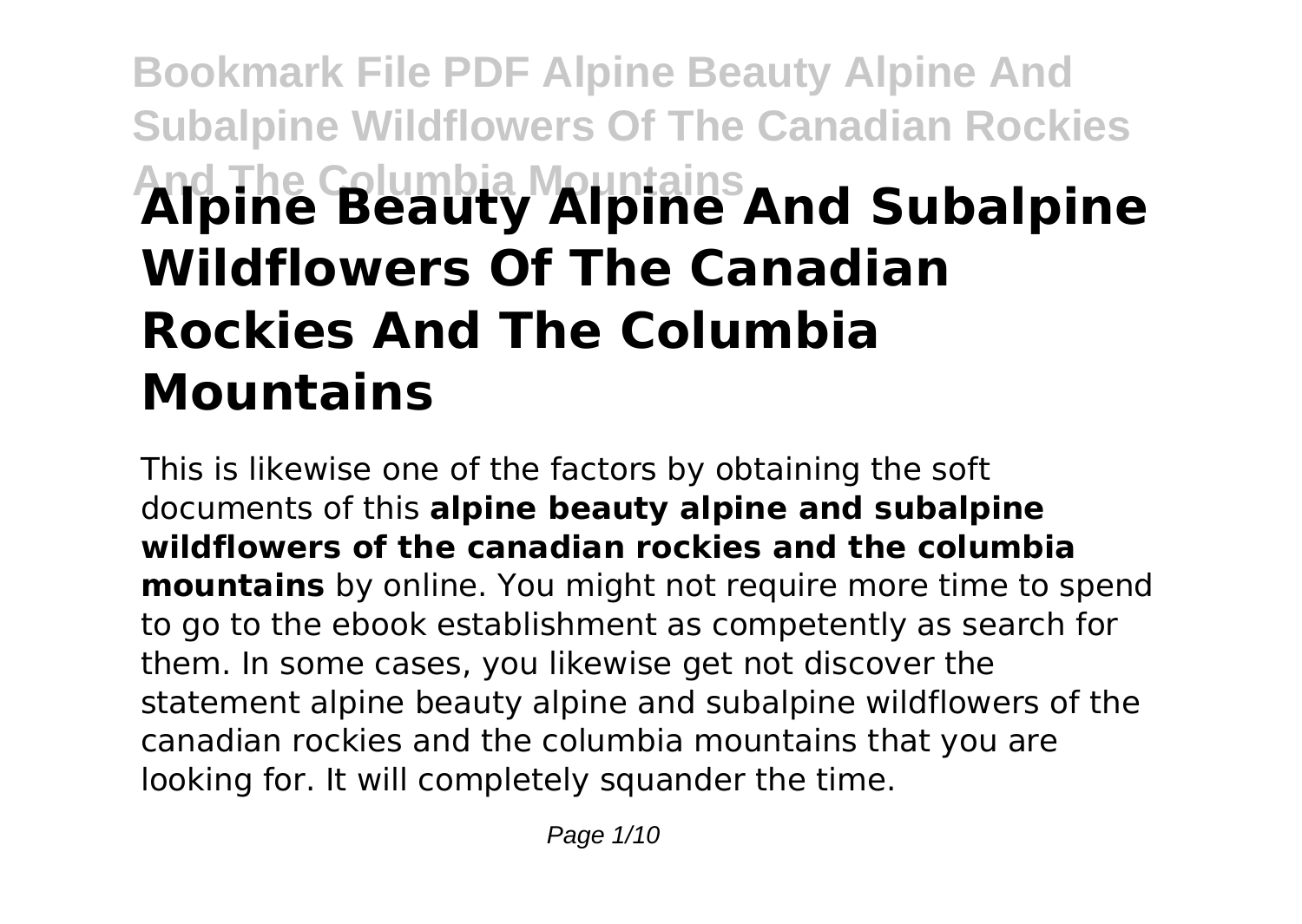# **Bookmark File PDF Alpine Beauty Alpine And Subalpine Wildflowers Of The Canadian Rockies And The Columbia Mountains Alpine Beauty Alpine And Subalpine Wildflowers Of The Canadian Rockies And The Columbia Mountains**

This is likewise one of the factors by obtaining the soft documents of this **alpine beauty alpine and subalpine wildflowers of the canadian rockies and the columbia mountains** by online. You might not require more time to spend to go to the ebook establishment as competently as search for them. In some cases, you likewise get not discover the statement alpine beauty alpine and subalpine wildflowers of the canadian rockies and the columbia mountains that you are looking for. It will completely squander the time.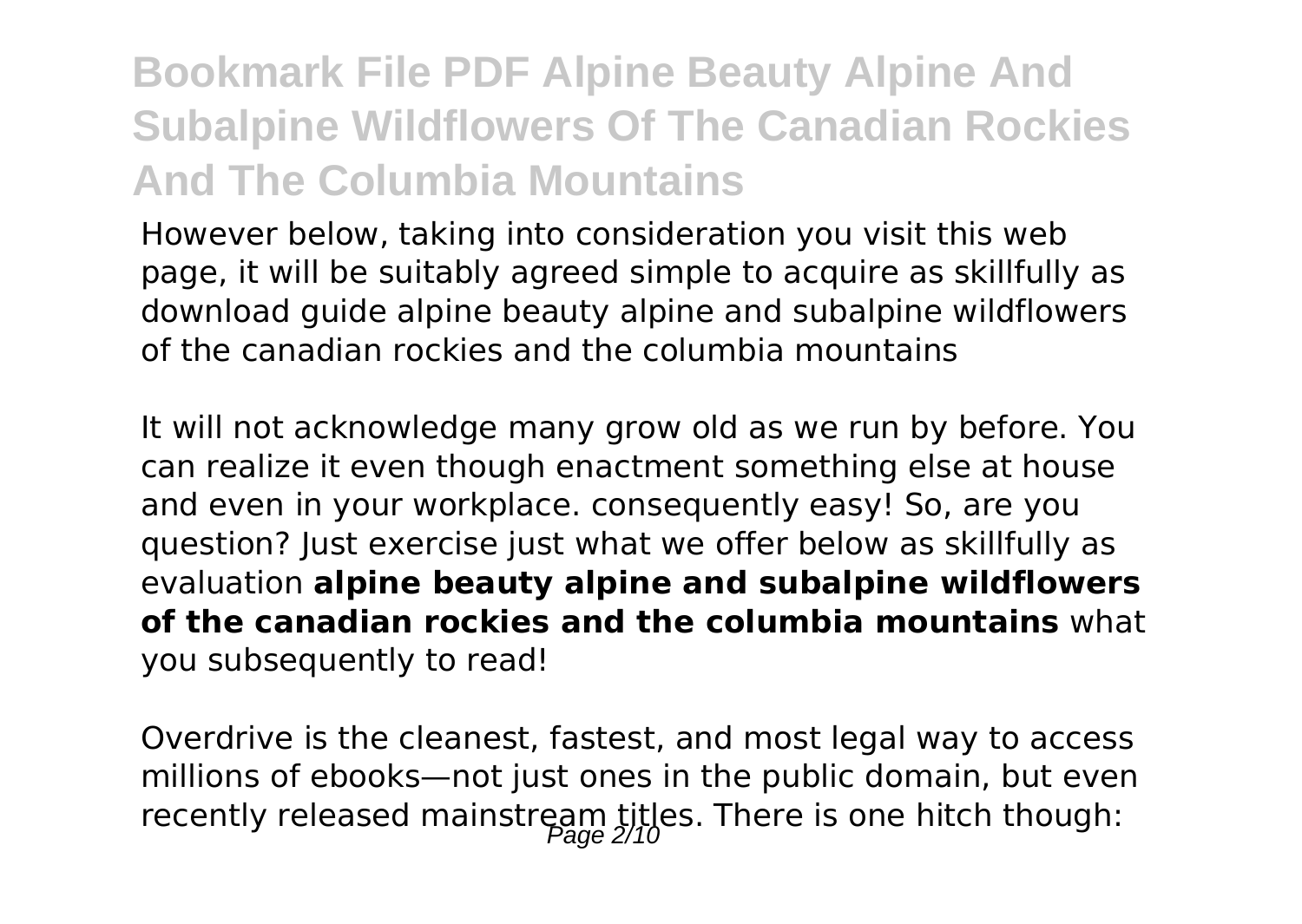# **Bookmark File PDF Alpine Beauty Alpine And Subalpine Wildflowers Of The Canadian Rockies And The Columbia Mountains**

However below, taking into consideration you visit this web page, it will be suitably agreed simple to acquire as skillfully as download guide alpine beauty alpine and subalpine wildflowers of the canadian rockies and the columbia mountains

It will not acknowledge many grow old as we run by before. You can realize it even though enactment something else at house and even in your workplace. consequently easy! So, are you question? Just exercise just what we offer below as skillfully as evaluation **alpine beauty alpine and subalpine wildflowers of the canadian rockies and the columbia mountains** what you subsequently to read!

Overdrive is the cleanest, fastest, and most legal way to access millions of ebooks—not just ones in the public domain, but even recently released mainstream titles. There is one hitch though: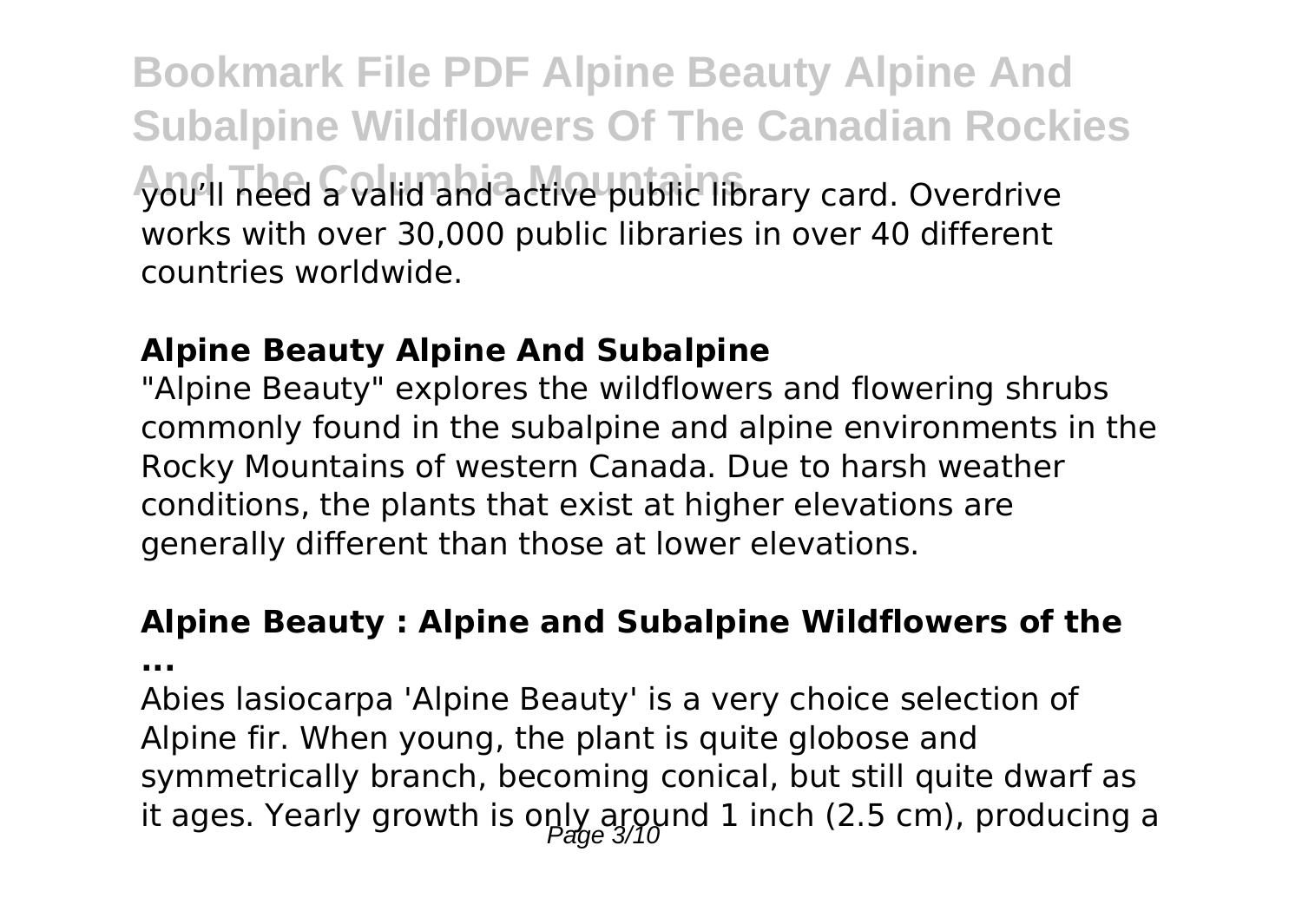**Bookmark File PDF Alpine Beauty Alpine And Subalpine Wildflowers Of The Canadian Rockies And The Columbia Mountains** you'll need a valid and active public library card. Overdrive works with over 30,000 public libraries in over 40 different countries worldwide.

#### **Alpine Beauty Alpine And Subalpine**

"Alpine Beauty" explores the wildflowers and flowering shrubs commonly found in the subalpine and alpine environments in the Rocky Mountains of western Canada. Due to harsh weather conditions, the plants that exist at higher elevations are generally different than those at lower elevations.

### **Alpine Beauty : Alpine and Subalpine Wildflowers of the**

**...**

Abies lasiocarpa 'Alpine Beauty' is a very choice selection of Alpine fir. When young, the plant is quite globose and symmetrically branch, becoming conical, but still quite dwarf as it ages. Yearly growth is only around 1 inch (2.5 cm), producing a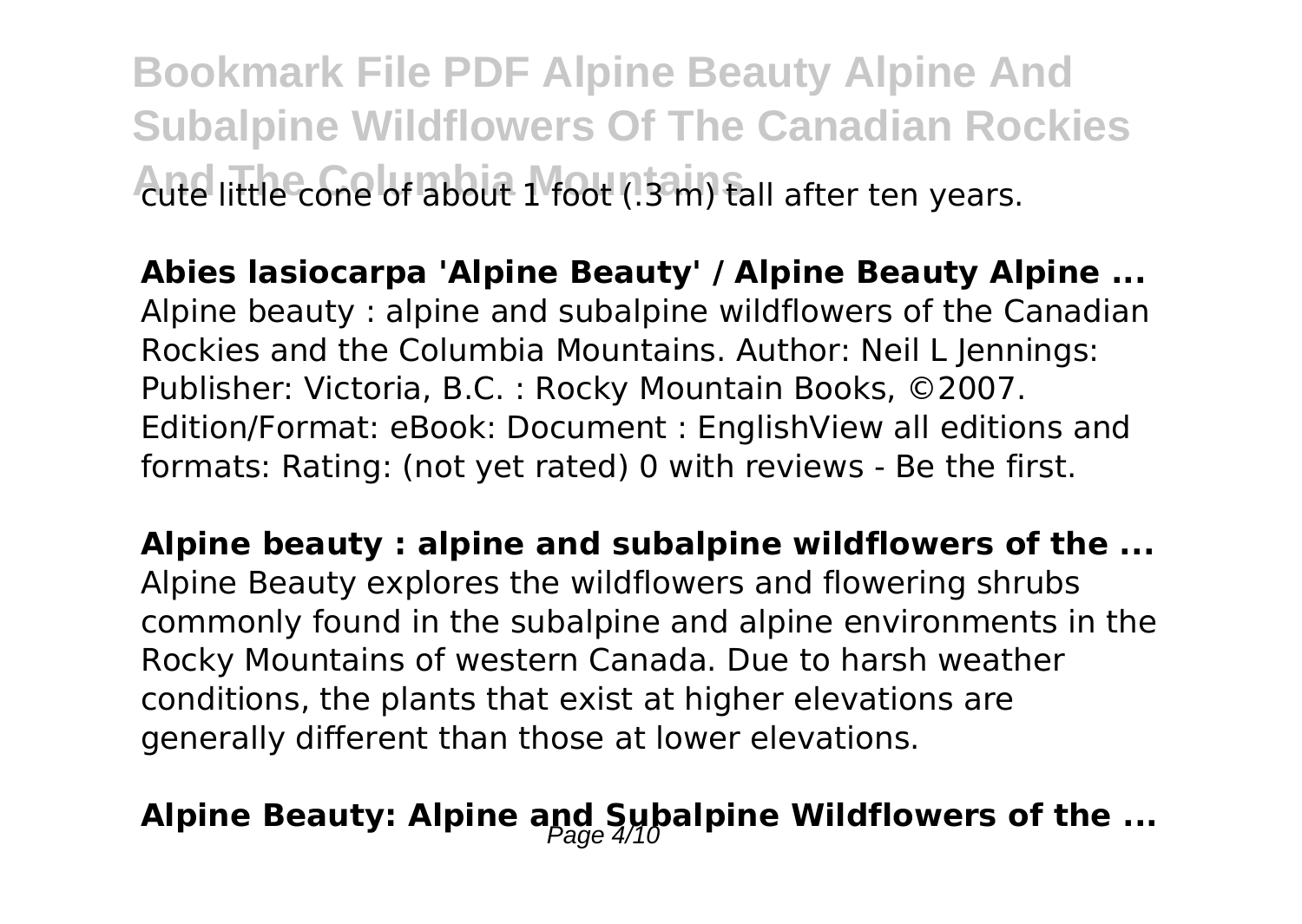**Bookmark File PDF Alpine Beauty Alpine And Subalpine Wildflowers Of The Canadian Rockies Aute little cone of about 1 foot (.3 m) tall after ten years.** 

**Abies lasiocarpa 'Alpine Beauty' / Alpine Beauty Alpine ...** Alpine beauty : alpine and subalpine wildflowers of the Canadian Rockies and the Columbia Mountains. Author: Neil L Jennings: Publisher: Victoria, B.C. : Rocky Mountain Books, ©2007. Edition/Format: eBook: Document : EnglishView all editions and formats: Rating: (not yet rated) 0 with reviews - Be the first.

**Alpine beauty : alpine and subalpine wildflowers of the ...** Alpine Beauty explores the wildflowers and flowering shrubs commonly found in the subalpine and alpine environments in the Rocky Mountains of western Canada. Due to harsh weather conditions, the plants that exist at higher elevations are generally different than those at lower elevations.

# Alpine Beauty: Alpine and Subalpine Wildflowers of the ...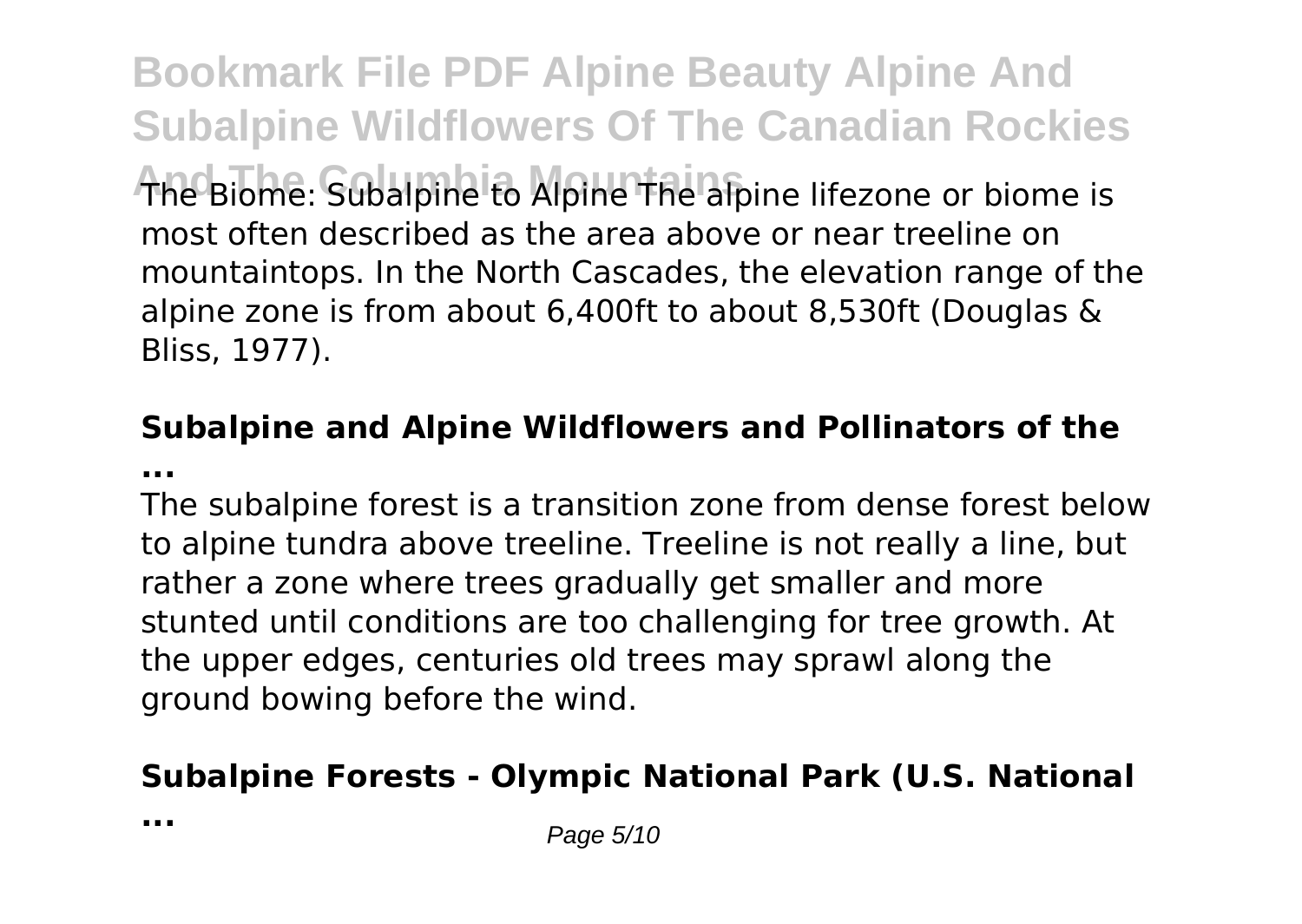**Bookmark File PDF Alpine Beauty Alpine And Subalpine Wildflowers Of The Canadian Rockies And The Columbia Mountains** The Biome: Subalpine to Alpine The alpine lifezone or biome is most often described as the area above or near treeline on mountaintops. In the North Cascades, the elevation range of the alpine zone is from about 6,400ft to about 8,530ft (Douglas & Bliss, 1977).

### **Subalpine and Alpine Wildflowers and Pollinators of the ...**

The subalpine forest is a transition zone from dense forest below to alpine tundra above treeline. Treeline is not really a line, but rather a zone where trees gradually get smaller and more stunted until conditions are too challenging for tree growth. At the upper edges, centuries old trees may sprawl along the ground bowing before the wind.

# **Subalpine Forests - Olympic National Park (U.S. National**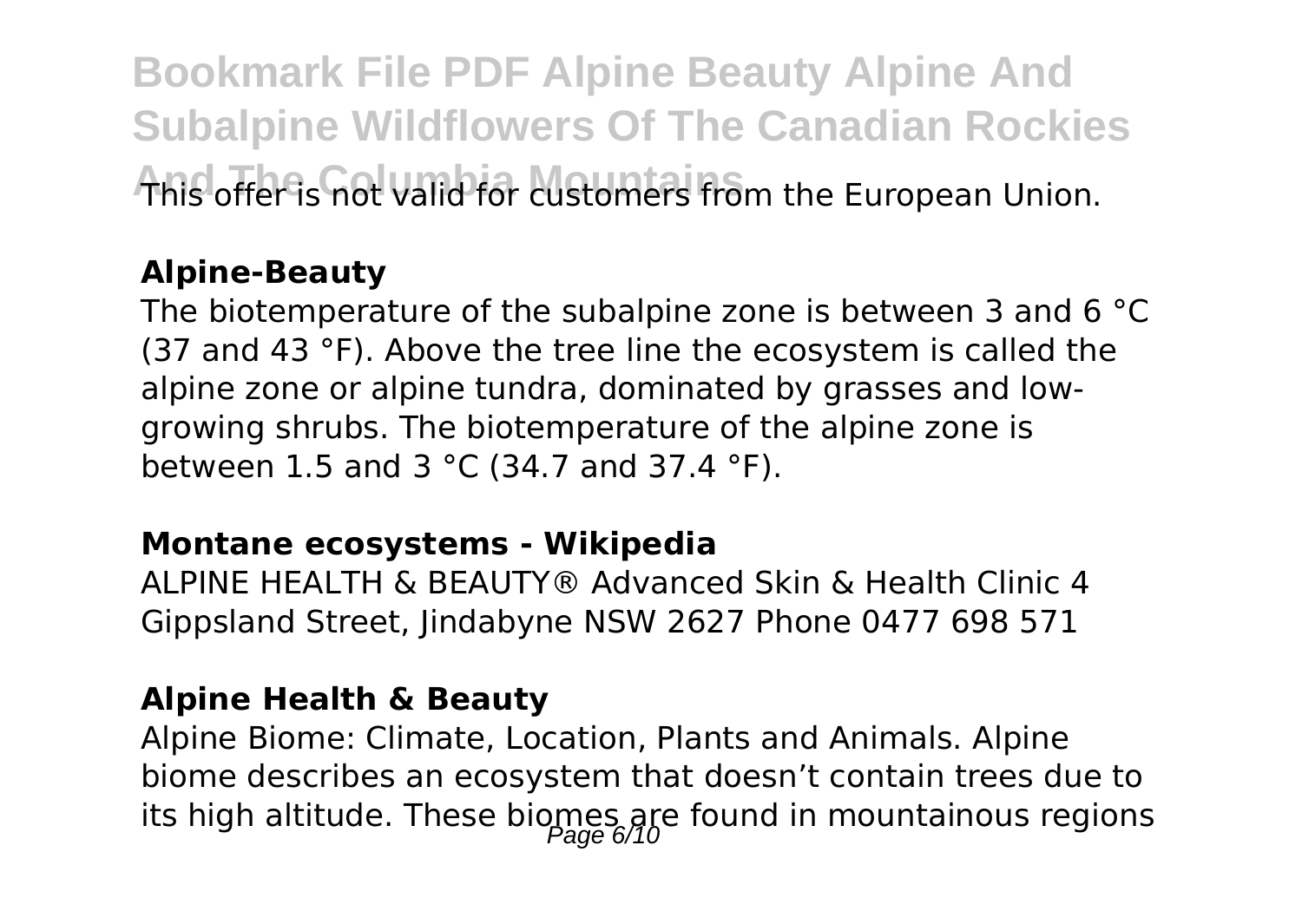**Bookmark File PDF Alpine Beauty Alpine And Subalpine Wildflowers Of The Canadian Rockies And offer is not valid for customers from the European Union.** 

### **Alpine-Beauty**

The biotemperature of the subalpine zone is between 3 and 6 °C (37 and 43 °F). Above the tree line the ecosystem is called the alpine zone or alpine tundra, dominated by grasses and lowgrowing shrubs. The biotemperature of the alpine zone is between 1.5 and 3 °C (34.7 and 37.4 °F).

#### **Montane ecosystems - Wikipedia**

ALPINE HEALTH & BEAUTY® Advanced Skin & Health Clinic 4 Gippsland Street, Jindabyne NSW 2627 Phone 0477 698 571

#### **Alpine Health & Beauty**

Alpine Biome: Climate, Location, Plants and Animals. Alpine biome describes an ecosystem that doesn't contain trees due to its high altitude. These biomes are found in mountainous regions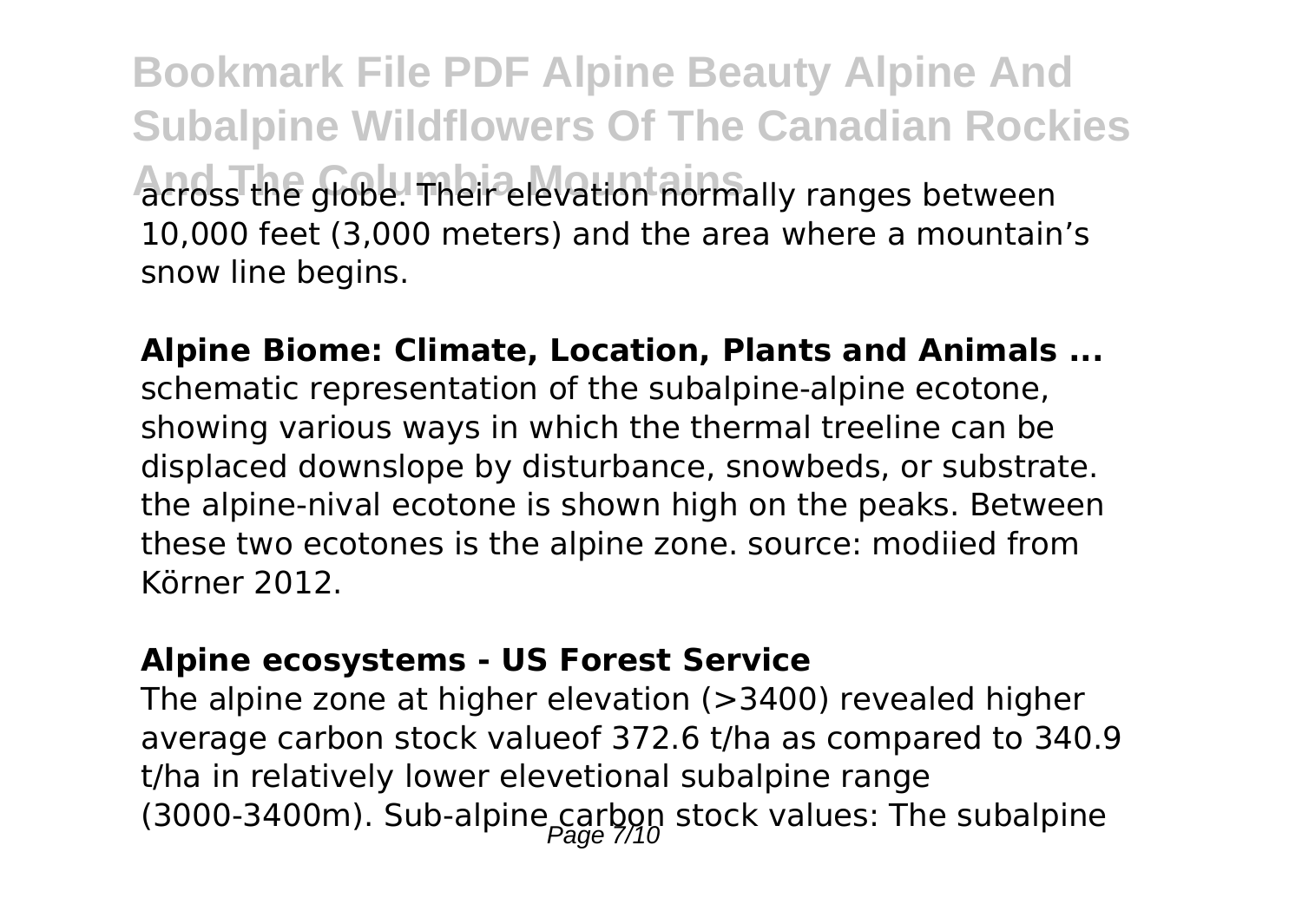**Bookmark File PDF Alpine Beauty Alpine And Subalpine Wildflowers Of The Canadian Rockies And The Columbia Mountains** across the globe. Their elevation normally ranges between 10,000 feet (3,000 meters) and the area where a mountain's snow line begins.

**Alpine Biome: Climate, Location, Plants and Animals ...** schematic representation of the subalpine-alpine ecotone, showing various ways in which the thermal treeline can be displaced downslope by disturbance, snowbeds, or substrate. the alpine-nival ecotone is shown high on the peaks. Between these two ecotones is the alpine zone. source: modiied from Körner 2012.

#### **Alpine ecosystems - US Forest Service**

The alpine zone at higher elevation (>3400) revealed higher average carbon stock valueof 372.6 t/ha as compared to 340.9 t/ha in relatively lower elevetional subalpine range (3000-3400m). Sub-alpine carbon stock values: The subalpine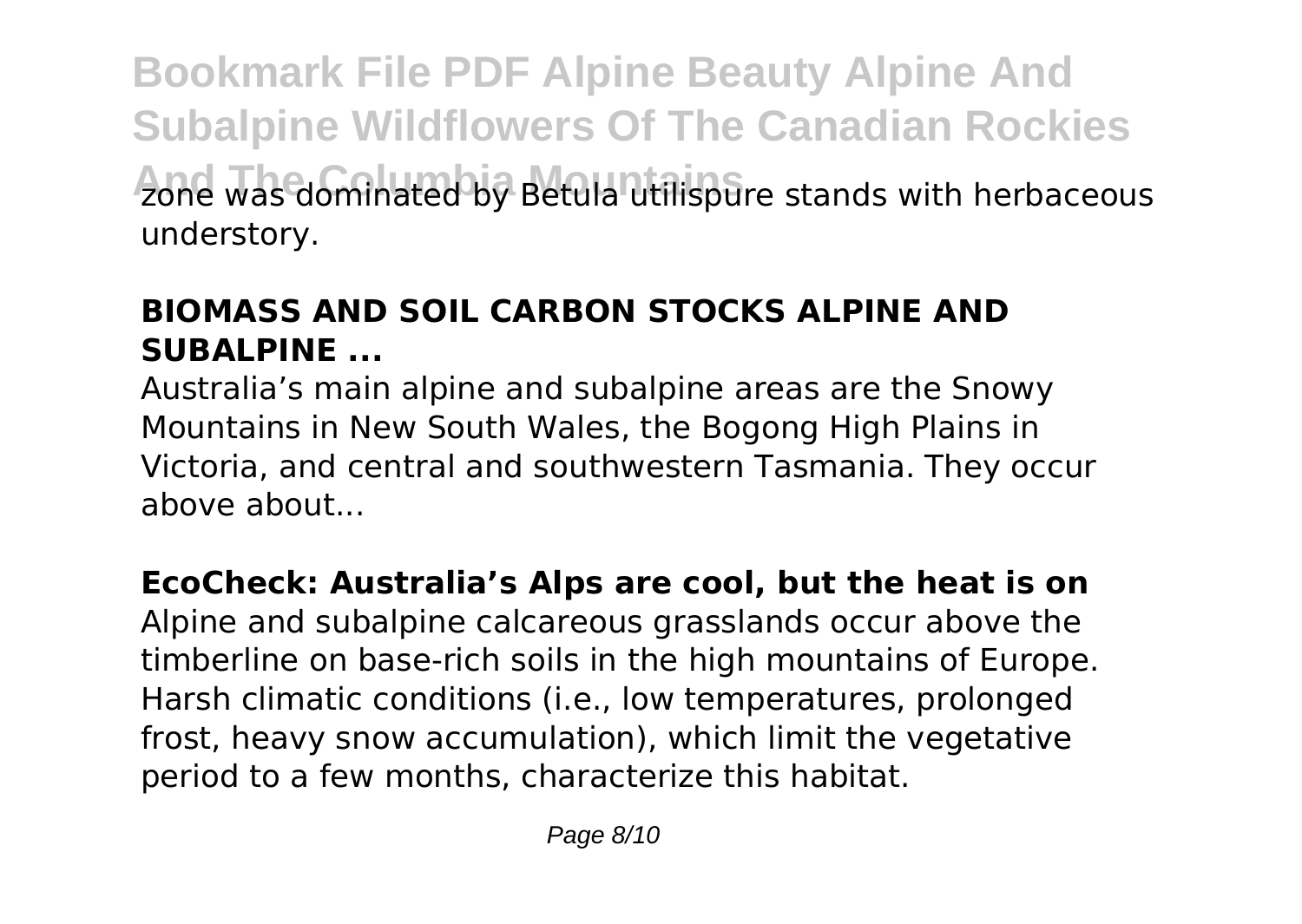**Bookmark File PDF Alpine Beauty Alpine And Subalpine Wildflowers Of The Canadian Rockies And The Columbia Mountains** zone was dominated by Betula utilispure stands with herbaceous understory.

# **BIOMASS AND SOIL CARBON STOCKS ALPINE AND SUBALPINE ...**

Australia's main alpine and subalpine areas are the Snowy Mountains in New South Wales, the Bogong High Plains in Victoria, and central and southwestern Tasmania. They occur above about...

# **EcoCheck: Australia's Alps are cool, but the heat is on**

Alpine and subalpine calcareous grasslands occur above the timberline on base-rich soils in the high mountains of Europe. Harsh climatic conditions (i.e., low temperatures, prolonged frost, heavy snow accumulation), which limit the vegetative period to a few months, characterize this habitat.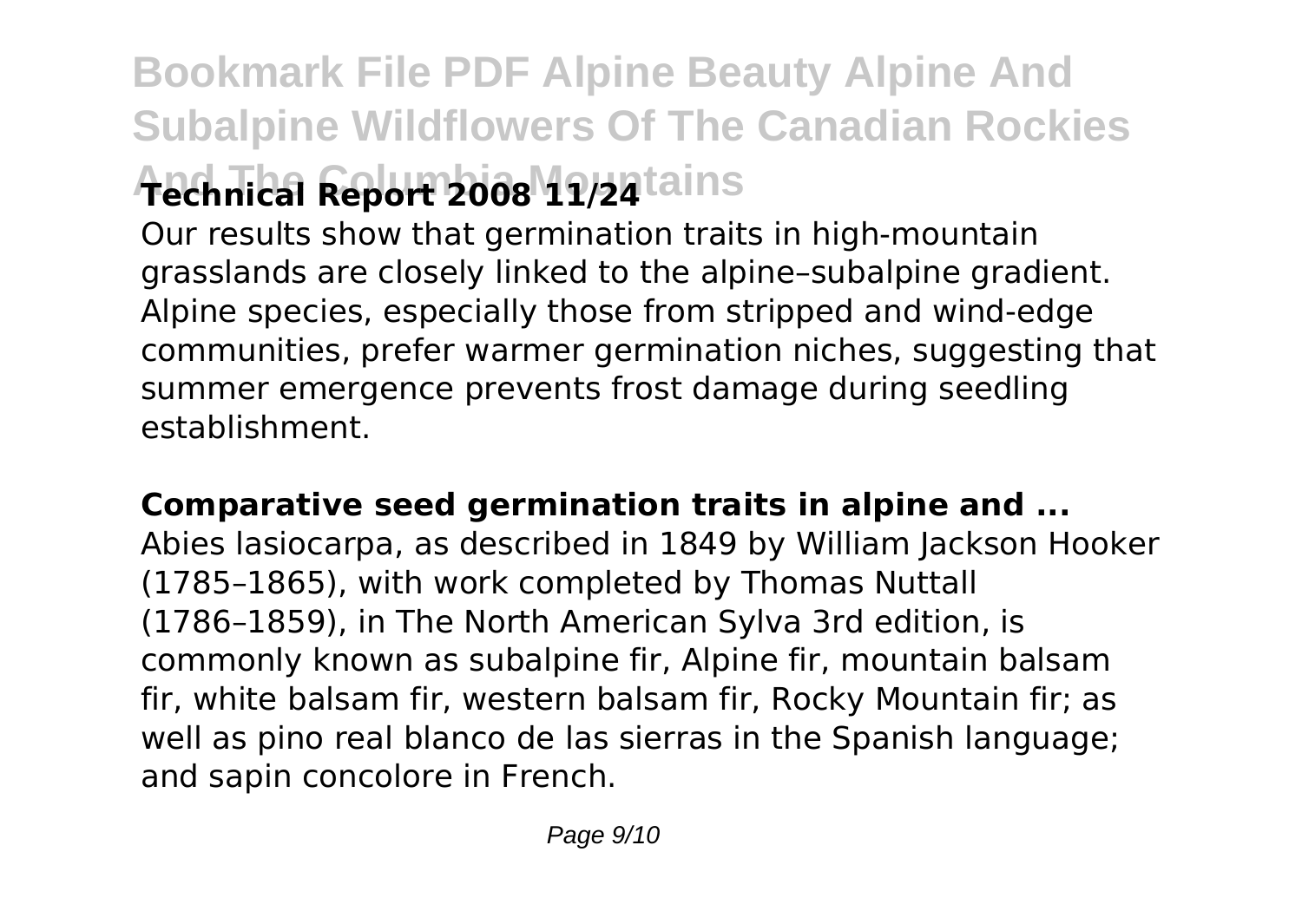# **Bookmark File PDF Alpine Beauty Alpine And Subalpine Wildflowers Of The Canadian Rockies And The Columbia Mountains Technical Report 2008 11/24**

Our results show that germination traits in high‐mountain grasslands are closely linked to the alpine–subalpine gradient. Alpine species, especially those from stripped and wind‐edge communities, prefer warmer germination niches, suggesting that summer emergence prevents frost damage during seedling establishment.

#### **Comparative seed germination traits in alpine and ...**

Abies lasiocarpa, as described in 1849 by William Jackson Hooker (1785–1865), with work completed by Thomas Nuttall (1786–1859), in The North American Sylva 3rd edition, is commonly known as subalpine fir, Alpine fir, mountain balsam fir, white balsam fir, western balsam fir, Rocky Mountain fir; as well as pino real blanco de las sierras in the Spanish language; and sapin concolore in French.